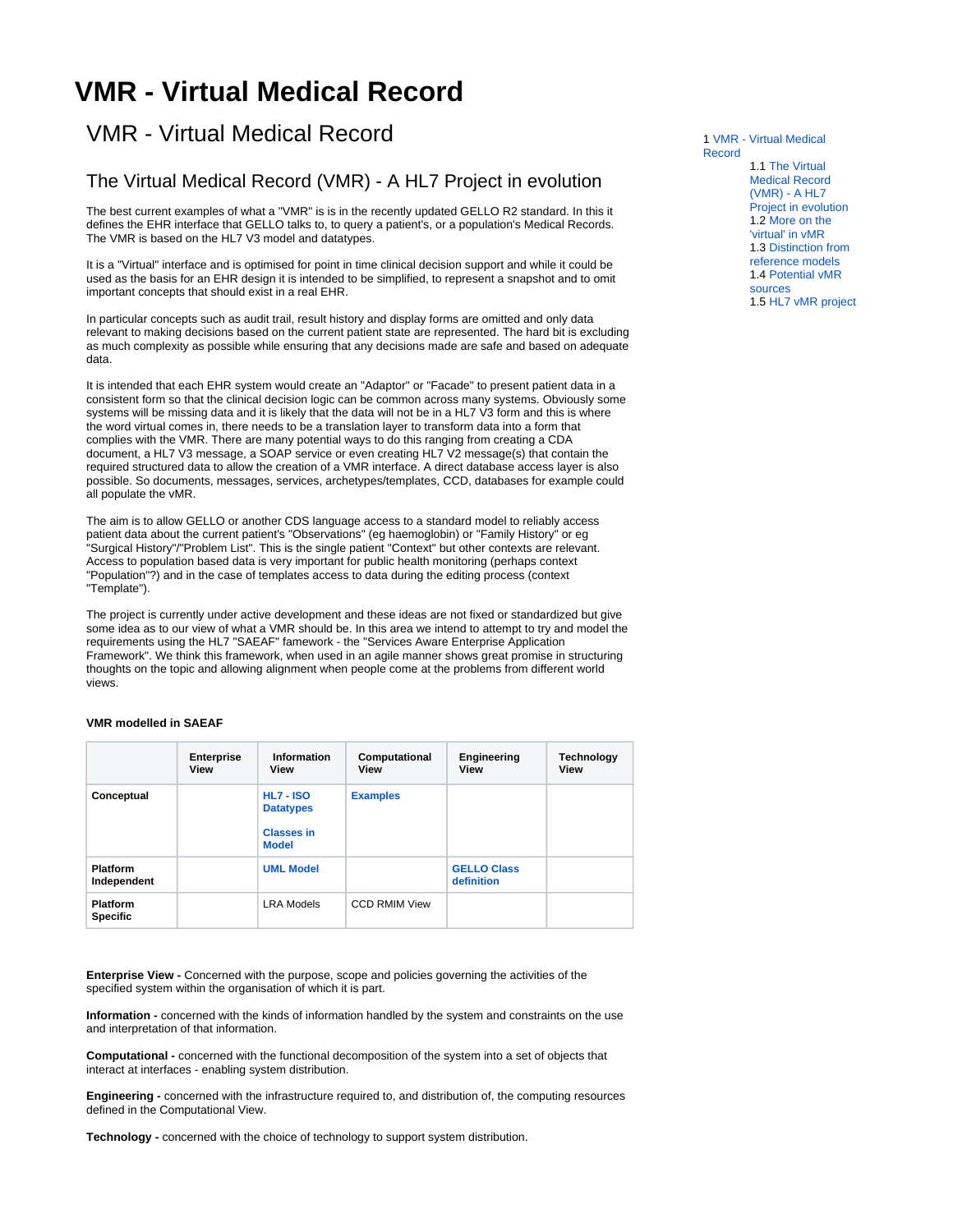# <span id="page-0-0"></span>**VMR - Virtual Medical Record**

## VMR - Virtual Medical Record

#### <span id="page-0-1"></span>The Virtual Medical Record (VMR) - A HL7 Project in evolution

The best current examples of what a "VMR" is is in the recently updated GELLO R2 standard. In this it defines the EHR interface that GELLO talks to, to query a patient's, or a population's Medical Records. The VMR is based on the HL7 V3 model and datatypes.

It is a "Virtual" interface and is optimised for point in time clinical decision support and while it could be used as the basis for an EHR design it is intended to be simplified, to represent a snapshot and to omit important concepts that should exist in a real EHR.

In particular concepts such as audit trail, result history and display forms are omitted and only data relevant to making decisions based on the current patient state are represented. The hard bit is excluding as much complexity as possible while ensuring that any decisions made are safe and based on adequate data.

It is intended that each EHR system would create an "Adaptor" or "Facade" to present patient data in a consistent form so that the clinical decision logic can be common across many systems. Obviously some systems will be missing data and it is likely that the data will not be in a HL7 V3 form and this is where the word virtual comes in, there needs to be a translation layer to transform data into a form that complies with the VMR. There are many potential ways to do this ranging from creating a CDA document, a HL7 V3 message, a SOAP service or even creating HL7 V2 message(s) that contain the required structured data to allow the creation of a VMR interface. A direct database access layer is also possible. So documents, messages, services, archetypes/templates, CCD, databases for example could all populate the vMR.

The aim is to allow GELLO or another CDS language access to a standard model to reliably access patient data about the current patient's "Observations" (eg haemoglobin) or "Family History" or eg "Surgical History"/"Problem List". This is the single patient "Context" but other contexts are relevant. Access to population based data is very important for public health monitoring (perhaps context "Population"?) and in the case of templates access to data during the editing process (context "Template").

The project is currently under active development and these ideas are not fixed or standardized but give some idea as to our view of what a VMR should be. In this area we intend to attempt to try and model the requirements using the HL7 "SAEAF" famework - the "Services Aware Enterprise Application Framework". We think this framework, when used in an agile manner shows great promise in structuring thoughts on the topic and allowing alignment when people come at the problems from different world views.

**VMR modelled in SAEAF**

|                                    | <b>Enterprise</b><br>View | Information<br>View                                                       | Computational<br><b>View</b> | Engineering<br><b>View</b>       | Technology<br>View |
|------------------------------------|---------------------------|---------------------------------------------------------------------------|------------------------------|----------------------------------|--------------------|
| Conceptual                         |                           | <b>HL7 - ISO</b><br><b>Datatypes</b><br><b>Classes in</b><br><b>Model</b> | <b>Examples</b>              |                                  |                    |
| <b>Platform</b><br>Independent     |                           | <b>UML Model</b>                                                          |                              | <b>GELLO Class</b><br>definition |                    |
| <b>Platform</b><br><b>Specific</b> |                           | <b>LRA Models</b>                                                         | <b>CCD RMIM View</b>         |                                  |                    |

**Enterprise View -** Concerned with the purpose, scope and policies governing the activities of the specified system within the organisation of which it is part.

**Information -** concerned with the kinds of information handled by the system and constraints on the use and interpretation of that information.

**Computational -** concerned with the functional decomposition of the system into a set of objects that interact at interfaces - enabling system distribution.

**Engineering -** concerned with the infrastructure required to, and distribution of, the computing resources defined in the Computational View.

<span id="page-0-2"></span>**Technology -** concerned with the choice of technology to support system distribution.

1 [VMR - Virtual Medical](#page-0-0)  [Record](#page-0-0) 1.1 [The Virtual](#page-0-1)  [Medical Record](#page-0-1)  [\(VMR\) - A HL7](#page-0-1)  [Project in evolution](#page-0-1) 1.2 [More on the](#page-0-2)  ['virtual' in vMR](#page-0-2) 1.3 [Distinction from](#page-1-0)  [reference models](#page-1-0) 1.4 [Potential vMR](#page-1-1)  [sources](#page-1-1) 1.5 [HL7 vMR project](#page-1-2)